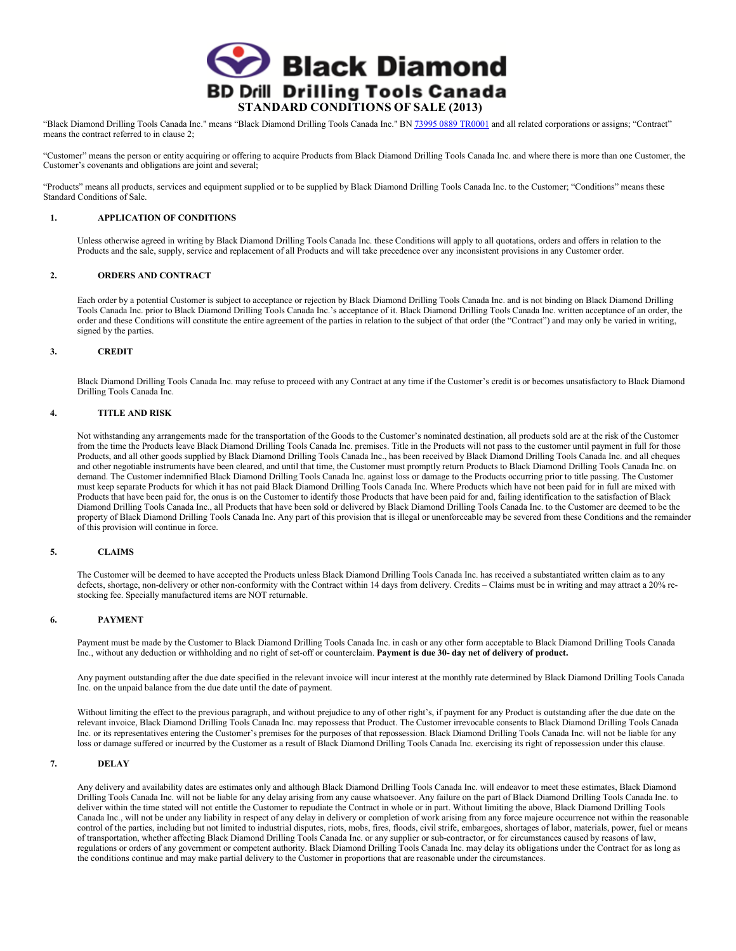

"Black Diamond Drilling Tools Canada Inc." means "Black Diamond Drilling Tools Canada Inc." BN 73995 0889 TR0001 and all related corporations or assigns; "Contract" means the contract referred to in clause 2;

"Customer" means the person or entity acquiring or offering to acquire Products from Black Diamond Drilling Tools Canada Inc. and where there is more than one Customer, the Customer's covenants and obligations are joint and several;

"Products" means all products, services and equipment supplied or to be supplied by Black Diamond Drilling Tools Canada Inc. to the Customer; "Conditions" means these Standard Conditions of Sale.

# **1. APPLICATION OF CONDITIONS**

Unless otherwise agreed in writing by Black Diamond Drilling Tools Canada Inc. these Conditions will apply to all quotations, orders and offers in relation to the Products and the sale, supply, service and replacement of all Products and will take precedence over any inconsistent provisions in any Customer order.

# **2. ORDERS AND CONTRACT**

Each order by a potential Customer is subject to acceptance or rejection by Black Diamond Drilling Tools Canada Inc. and is not binding on Black Diamond Drilling Tools Canada Inc. prior to Black Diamond Drilling Tools Canada Inc.'s acceptance of it. Black Diamond Drilling Tools Canada Inc. written acceptance of an order, the order and these Conditions will constitute the entire agreement of the parties in relation to the subject of that order (the "Contract") and may only be varied in writing, signed by the parties.

## **3. CREDIT**

Black Diamond Drilling Tools Canada Inc. may refuse to proceed with any Contract at any time if the Customer's credit is or becomes unsatisfactory to Black Diamond Drilling Tools Canada Inc.

## **4. TITLE AND RISK**

Not withstanding any arrangements made for the transportation of the Goods to the Customer's nominated destination, all products sold are at the risk of the Customer from the time the Products leave Black Diamond Drilling Tools Canada Inc. premises. Title in the Products will not pass to the customer until payment in full for those Products, and all other goods supplied by Black Diamond Drilling Tools Canada Inc., has been received by Black Diamond Drilling Tools Canada Inc. and all cheques and other negotiable instruments have been cleared, and until that time, the Customer must promptly return Products to Black Diamond Drilling Tools Canada Inc. on demand. The Customer indemnified Black Diamond Drilling Tools Canada Inc. against loss or damage to the Products occurring prior to title passing. The Customer must keep separate Products for which it has not paid Black Diamond Drilling Tools Canada Inc. Where Products which have not been paid for in full are mixed with Products that have been paid for, the onus is on the Customer to identify those Products that have been paid for and, failing identification to the satisfaction of Black Diamond Drilling Tools Canada Inc., all Products that have been sold or delivered by Black Diamond Drilling Tools Canada Inc. to the Customer are deemed to be the property of Black Diamond Drilling Tools Canada Inc. Any part of this provision that is illegal or unenforceable may be severed from these Conditions and the remainder of this provision will continue in force.

#### **5. CLAIMS**

The Customer will be deemed to have accepted the Products unless Black Diamond Drilling Tools Canada Inc. has received a substantiated written claim as to any defects, shortage, non-delivery or other non-conformity with the Contract within 14 days from delivery. Credits – Claims must be in writing and may attract a 20% restocking fee. Specially manufactured items are NOT returnable.

## **6. PAYMENT**

Payment must be made by the Customer to Black Diamond Drilling Tools Canada Inc. in cash or any other form acceptable to Black Diamond Drilling Tools Canada Inc., without any deduction or withholding and no right of set-off or counterclaim. **Payment is due 30- day net of delivery of product.** 

Any payment outstanding after the due date specified in the relevant invoice will incur interest at the monthly rate determined by Black Diamond Drilling Tools Canada Inc. on the unpaid balance from the due date until the date of payment.

Without limiting the effect to the previous paragraph, and without prejudice to any of other right's, if payment for any Product is outstanding after the due date on the relevant invoice, Black Diamond Drilling Tools Canada Inc. may repossess that Product. The Customer irrevocable consents to Black Diamond Drilling Tools Canada Inc. or its representatives entering the Customer's premises for the purposes of that repossession. Black Diamond Drilling Tools Canada Inc. will not be liable for any loss or damage suffered or incurred by the Customer as a result of Black Diamond Drilling Tools Canada Inc. exercising its right of repossession under this clause.

# **7. DELAY**

Any delivery and availability dates are estimates only and although Black Diamond Drilling Tools Canada Inc. will endeavor to meet these estimates, Black Diamond Drilling Tools Canada Inc. will not be liable for any delay arising from any cause whatsoever. Any failure on the part of Black Diamond Drilling Tools Canada Inc. to deliver within the time stated will not entitle the Customer to repudiate the Contract in whole or in part. Without limiting the above, Black Diamond Drilling Tools Canada Inc., will not be under any liability in respect of any delay in delivery or completion of work arising from any force majeure occurrence not within the reasonable control of the parties, including but not limited to industrial disputes, riots, mobs, fires, floods, civil strife, embargoes, shortages of labor, materials, power, fuel or means of transportation, whether affecting Black Diamond Drilling Tools Canada Inc. or any supplier or sub-contractor, or for circumstances caused by reasons of law, regulations or orders of any government or competent authority. Black Diamond Drilling Tools Canada Inc. may delay its obligations under the Contract for as long as the conditions continue and may make partial delivery to the Customer in proportions that are reasonable under the circumstances.